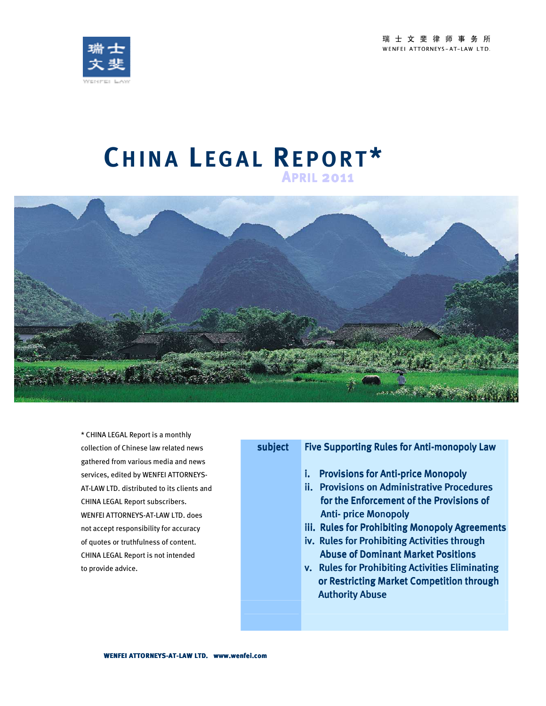瑞士文斐律师事务所 WENFEI ATTORNEYS-AT-LAW LTD.



# **CH I N A L E G A L RE P O R T \* <sup>A</sup>PRIL <sup>2011</sup>**



\* CHINA LEGAL Report is a monthly collection of Chinese law related news gathered from various media and news services, edited by WENFEI ATTORNEYS-AT-LAW LTD. distributed to its clients and CHINA LEGAL Report subscribers. WENFEI ATTORNEYS-AT-LAW LTD. does not accept responsibility for accuracy of quotes or truthfulness of content. CHINA LEGAL Report is not intended to provide advice.

## subject Five Supporting Rules for Anti-monopoly Law

- i. Provisions for Anti-price Monopoly
- ii. Provisions on Administrative Procedures for the Enforcement of the Provisions of **Anti-price Monopoly**
- iii. Rules for Prohibiting Monopoly Agreements
- iv. Rules for Prohibiting Activities through **Abuse of Dominant Market Positions**
- v. Rules for Prohibiting Activities Eliminating or Restricting Market Competition through **Authority Abuse**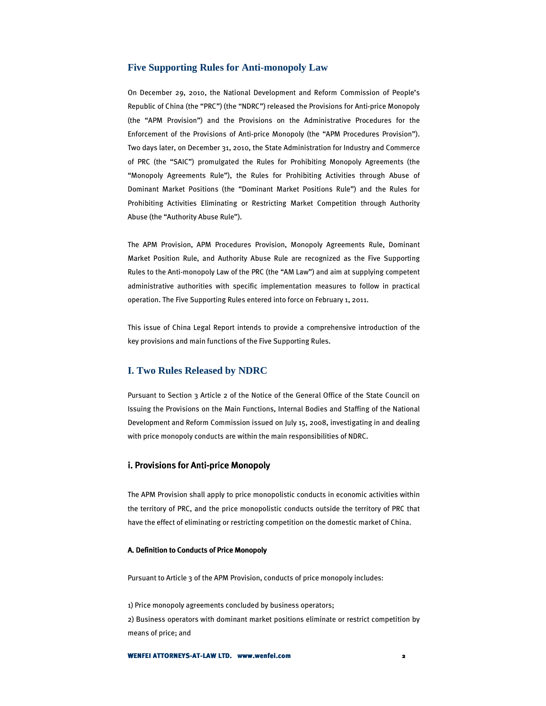#### **Five Supporting Rules for Anti-monopoly Law**

On December 29, 2010, the National Development and Reform Commission of People's Republic of China (the "PRC") (the "NDRC") released the Provisions for Anti-price Monopoly (the "APM Provision") and the Provisions on the Administrative Procedures for the Enforcement of the Provisions of Anti-price Monopoly (the "APM Procedures Provision"). Two days later, on December 31, 2010, the State Administration for Industry and Commerce of PRC (the "SAIC") promulgated the Rules for Prohibiting Monopoly Agreements (the "Monopoly Agreements Rule"), the Rules for Prohibiting Activities through Abuse of Dominant Market Positions (the "Dominant Market Positions Rule") and the Rules for Prohibiting Activities Eliminating or Restricting Market Competition through Authority Abuse (the "Authority Abuse Rule").

The APM Provision, APM Procedures Provision, Monopoly Agreements Rule, Dominant Market Position Rule, and Authority Abuse Rule are recognized as the Five Supporting Rules to the Anti-monopoly Law of the PRC (the "AM Law") and aim at supplying competent administrative authorities with specific implementation measures to follow in practical operation. The Five Supporting Rules entered into force on February 1, 2011.

This issue of China Legal Report intends to provide a comprehensive introduction of the key provisions and main functions of the Five Supporting Rules.

#### **I. Two Rules Released by NDRC**

Pursuant to Section 3 Article 2 of the Notice of the General Office of the State Council on Issuing the Provisions on the Main Functions, Internal Bodies and Staffing of the National Development and Reform Commission issued on July 15, 2008, investigating in and dealing with price monopoly conducts are within the main responsibilities of NDRC.

#### i. Provisions for Anti-price Monopoly

The APM Provision shall apply to price monopolistic conducts in economic activities within the territory of PRC, and the price monopolistic conducts outside the territory of PRC that have the effect of eliminating or restricting competition on the domestic market of China.

#### A. Definition to Conducts of Price Monopoly

Pursuant to Article 3 of the APM Provision, conducts of price monopoly includes:

1) Price monopoly agreements concluded by business operators; 2) Business operators with dominant market positions eliminate or restrict competition by means of price; and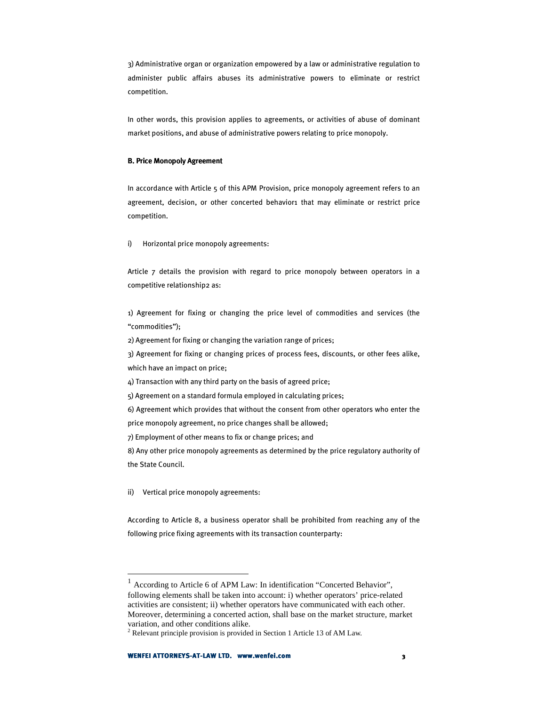3) Administrative organ or organization empowered by a law or administrative regulation to administer public affairs abuses its administrative powers to eliminate or restrict competition.

In other words, this provision applies to agreements, or activities of abuse of dominant market positions, and abuse of administrative powers relating to price monopoly.

#### B. Price Monopoly Agreement

In accordance with Article 5 of this APM Provision, price monopoly agreement refers to an agreement, decision, or other concerted behavior1 that may eliminate or restrict price competition.

i) Horizontal price monopoly agreements:

Article 7 details the provision with regard to price monopoly between operators in a competitive relationship2 as:

1) Agreement for fixing or changing the price level of commodities and services (the "commodities");

2) Agreement for fixing or changing the variation range of prices;

3) Agreement for fixing or changing prices of process fees, discounts, or other fees alike, which have an impact on price;

4) Transaction with any third party on the basis of agreed price;

5) Agreement on a standard formula employed in calculating prices;

6) Agreement which provides that without the consent from other operators who enter the

price monopoly agreement, no price changes shall be allowed;

7) Employment of other means to fix or change prices; and

8) Any other price monopoly agreements as determined by the price regulatory authority of the State Council.

ii) Vertical price monopoly agreements:

 $\overline{a}$ 

According to Article 8, a business operator shall be prohibited from reaching any of the following price fixing agreements with its transaction counterparty:

<sup>&</sup>lt;sup>1</sup> According to Article 6 of APM Law: In identification "Concerted Behavior", following elements shall be taken into account: i) whether operators' price-related activities are consistent; ii) whether operators have communicated with each other. Moreover, determining a concerted action, shall base on the market structure, market variation, and other conditions alike.

<sup>&</sup>lt;sup>2</sup> Relevant principle provision is provided in Section 1 Article 13 of AM Law.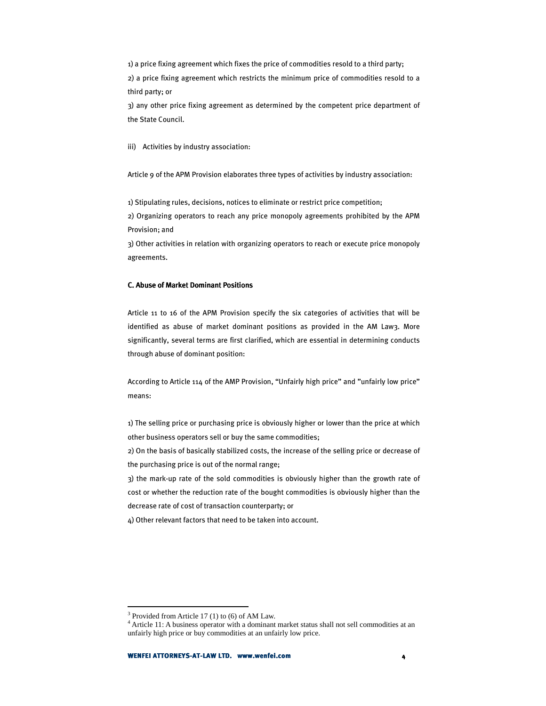1) a price fixing agreement which fixes the price of commodities resold to a third party; 2) a price fixing agreement which restricts the minimum price of commodities resold to a third party; or

3) any other price fixing agreement as determined by the competent price department of the State Council.

iii) Activities by industry association:

Article 9 of the APM Provision elaborates three types of activities by industry association:

1) Stipulating rules, decisions, notices to eliminate or restrict price competition;

2) Organizing operators to reach any price monopoly agreements prohibited by the APM Provision; and

3) Other activities in relation with organizing operators to reach or execute price monopoly agreements.

#### **C. Abuse of Market Dominant Positions**

Article 11 to 16 of the APM Provision specify the six categories of activities that will be identified as abuse of market dominant positions as provided in the AM Law3. More significantly, several terms are first clarified, which are essential in determining conducts through abuse of dominant position:

According to Article 114 of the AMP Provision, "Unfairly high price" and "unfairly low price" means:

1) The selling price or purchasing price is obviously higher or lower than the price at which other business operators sell or buy the same commodities;

2) On the basis of basically stabilized costs, the increase of the selling price or decrease of the purchasing price is out of the normal range;

3) the mark-up rate of the sold commodities is obviously higher than the growth rate of cost or whether the reduction rate of the bought commodities is obviously higher than the decrease rate of cost of transaction counterparty; or

4) Other relevant factors that need to be taken into account.

<sup>&</sup>lt;sup>3</sup> Provided from Article 17 (1) to (6) of AM Law.

<sup>&</sup>lt;sup>4</sup> Article 11: A business operator with a dominant market status shall not sell commodities at an unfairly high price or buy commodities at an unfairly low price.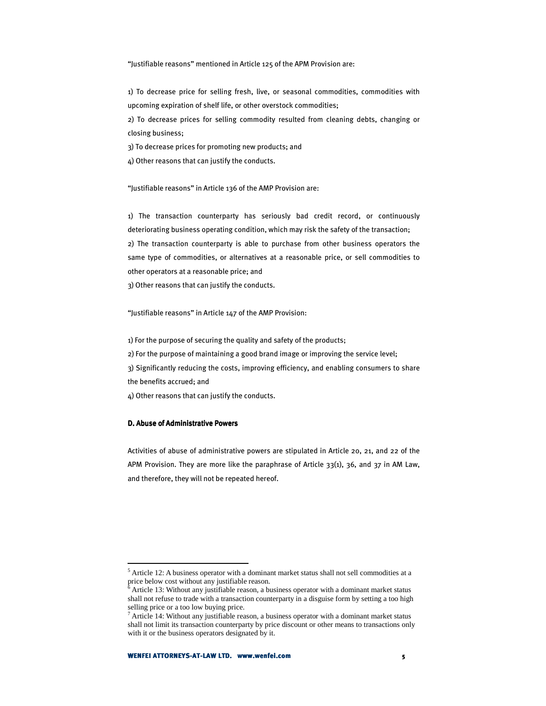"Justifiable reasons" mentioned in Article 125 of the APM Provision are:

1) To decrease price for selling fresh, live, or seasonal commodities, commodities with upcoming expiration of shelf life, or other overstock commodities;

2) To decrease prices for selling commodity resulted from cleaning debts, changing or closing business;

3) To decrease prices for promoting new products; and

4) Other reasons that can justify the conducts.

"Justifiable reasons" in Article 136 of the AMP Provision are:

1) The transaction counterparty has seriously bad credit record, or continuously deteriorating business operating condition, which may risk the safety of the transaction; 2) The transaction counterparty is able to purchase from other business operators the same type of commodities, or alternatives at a reasonable price, or sell commodities to other operators at a reasonable price; and

3) Other reasons that can justify the conducts.

"Justifiable reasons" in Article 147 of the AMP Provision:

1) For the purpose of securing the quality and safety of the products;

2) For the purpose of maintaining a good brand image or improving the service level;

3) Significantly reducing the costs, improving efficiency, and enabling consumers to share the benefits accrued; and

4) Other reasons that can justify the conducts.

#### D. Abuse of Administrative Powers

 $\overline{a}$ 

Activities of abuse of administrative powers are stipulated in Article 20, 21, and 22 of the APM Provision. They are more like the paraphrase of Article 33(1), 36, and 37 in AM Law, and therefore, they will not be repeated hereof.

<sup>&</sup>lt;sup>5</sup> Article 12: A business operator with a dominant market status shall not sell commodities at a price below cost without any justifiable reason.<br><sup>6</sup> Article 13: Without any justifiable reason, a by

Article 13: Without any justifiable reason, a business operator with a dominant market status shall not refuse to trade with a transaction counterparty in a disguise form by setting a too high selling price or a too low buying price.

<sup>&</sup>lt;sup>7</sup> Article 14: Without any justifiable reason, a business operator with a dominant market status shall not limit its transaction counterparty by price discount or other means to transactions only with it or the business operators designated by it.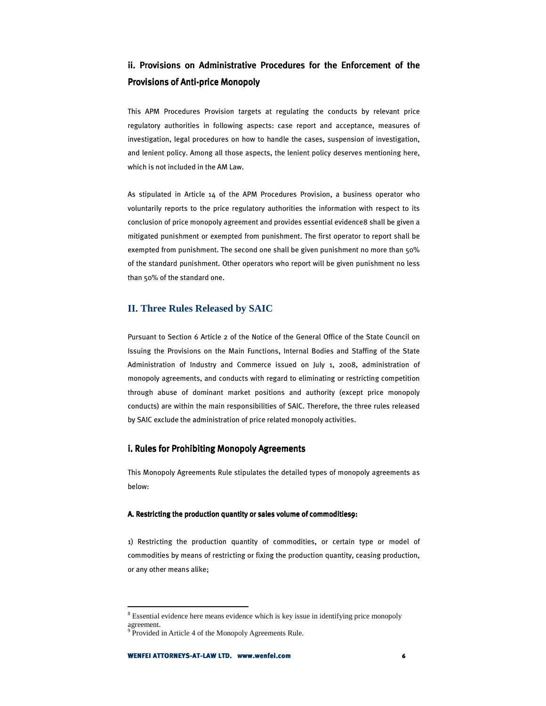## ii. Provisions on Administrative Procedures for the Enforcement of the Provisions of Anti-price Monopoly

This APM Procedures Provision targets at regulating the conducts by relevant price regulatory authorities in following aspects: case report and acceptance, measures of investigation, legal procedures on how to handle the cases, suspension of investigation, and lenient policy. Among all those aspects, the lenient policy deserves mentioning here, which is not included in the AM Law.

As stipulated in Article 14 of the APM Procedures Provision, a business operator who voluntarily reports to the price regulatory authorities the information with respect to its conclusion of price monopoly agreement and provides essential evidence8 shall be given a mitigated punishment or exempted from punishment. The first operator to report shall be exempted from punishment. The second one shall be given punishment no more than 50% of the standard punishment. Other operators who report will be given punishment no less than 50% of the standard one.

## **II. Three Rules Released by SAIC**

Pursuant to Section 6 Article 2 of the Notice of the General Office of the State Council on Issuing the Provisions on the Main Functions, Internal Bodies and Staffing of the State Administration of Industry and Commerce issued on July 1, 2008, administration of monopoly agreements, and conducts with regard to eliminating or restricting competition through abuse of dominant market positions and authority (except price monopoly conducts) are within the main responsibilities of SAIC. Therefore, the three rules released by SAIC exclude the administration of price related monopoly activities.

#### i. Rules for Prohibiting Monopoly Agreements

This Monopoly Agreements Rule stipulates the detailed types of monopoly agreements as below:

#### A. Restricting the production quantity or sales volume of commodities9:

1) Restricting the production quantity of commodities, or certain type or model of commodities by means of restricting or fixing the production quantity, ceasing production, or any other means alike;

<sup>&</sup>lt;sup>8</sup> Essential evidence here means evidence which is key issue in identifying price monopoly agreement.

<sup>&</sup>lt;sup>9</sup> Provided in Article 4 of the Monopoly Agreements Rule.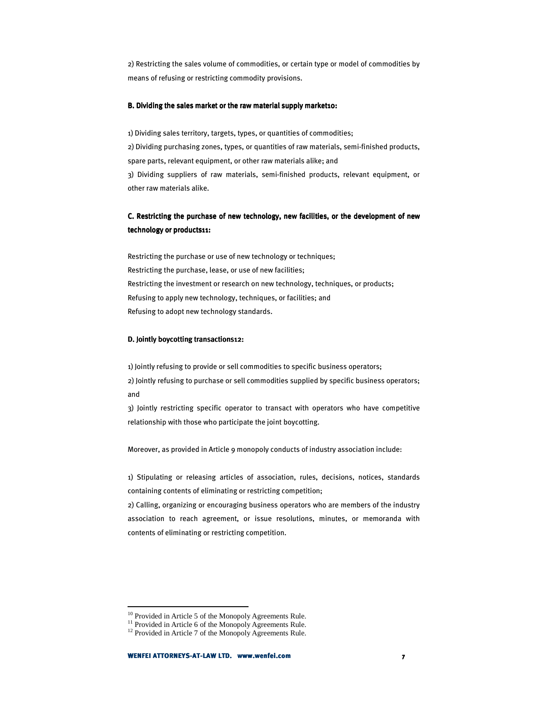2) Restricting the sales volume of commodities, or certain type or model of commodities by means of refusing or restricting commodity provisions.

#### B. Dividing the sales market or the raw material supply market10:

1) Dividing sales territory, targets, types, or quantities of commodities; 2) Dividing purchasing zones, types, or quantities of raw materials, semi-finished products, spare parts, relevant equipment, or other raw materials alike; and 3) Dividing suppliers of raw materials, semi-finished products, relevant equipment, or other raw materials alike.

## C. Restricting the purchase of new technology, new facilities, or the development of new technology or products11:

Restricting the purchase or use of new technology or techniques; Restricting the purchase, lease, or use of new facilities; Restricting the investment or research on new technology, techniques, or products; Refusing to apply new technology, techniques, or facilities; and Refusing to adopt new technology standards.

#### D. Jointly boycotting transactions12:

1) Jointly refusing to provide or sell commodities to specific business operators; 2) Jointly refusing to purchase or sell commodities supplied by specific business operators; and

3) Jointly restricting specific operator to transact with operators who have competitive relationship with those who participate the joint boycotting.

Moreover, as provided in Article 9 monopoly conducts of industry association include:

1) Stipulating or releasing articles of association, rules, decisions, notices, standards containing contents of eliminating or restricting competition;

2) Calling, organizing or encouraging business operators who are members of the industry association to reach agreement, or issue resolutions, minutes, or memoranda with contents of eliminating or restricting competition.

<sup>&</sup>lt;sup>10</sup> Provided in Article 5 of the Monopoly Agreements Rule.

<sup>&</sup>lt;sup>11</sup> Provided in Article 6 of the Monopoly Agreements Rule.

<sup>&</sup>lt;sup>12</sup> Provided in Article 7 of the Monopoly Agreements Rule.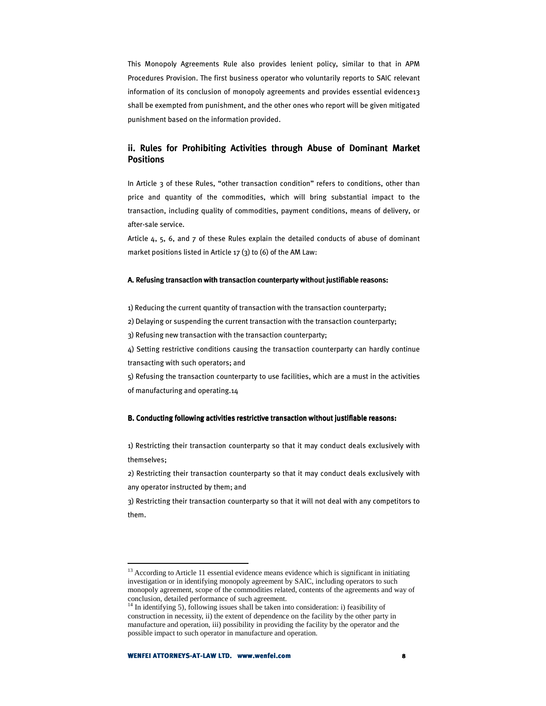This Monopoly Agreements Rule also provides lenient policy, similar to that in APM Procedures Provision. The first business operator who voluntarily reports to SAIC relevant information of its conclusion of monopoly agreements and provides essential evidence13 shall be exempted from punishment, and the other ones who report will be given mitigated punishment based on the information provided.

## ii. Rules for Prohibiting Activities through Abuse of Dominant Market **Positions**

In Article 3 of these Rules, "other transaction condition" refers to conditions, other than price and quantity of the commodities, which will bring substantial impact to the transaction, including quality of commodities, payment conditions, means of delivery, or after-sale service.

Article 4, 5, 6, and 7 of these Rules explain the detailed conducts of abuse of dominant market positions listed in Article 17 (3) to (6) of the AM Law:

#### A. Refusing transaction with transaction counterparty without justifiable reasons:

1) Reducing the current quantity of transaction with the transaction counterparty;

2) Delaying or suspending the current transaction with the transaction counterparty;

3) Refusing new transaction with the transaction counterparty;

4) Setting restrictive conditions causing the transaction counterparty can hardly continue transacting with such operators; and

5) Refusing the transaction counterparty to use facilities, which are a must in the activities of manufacturing and operating.14

#### B. Conducting following activities restrictive transaction without justifiable reasons:

1) Restricting their transaction counterparty so that it may conduct deals exclusively with themselves;

2) Restricting their transaction counterparty so that it may conduct deals exclusively with any operator instructed by them; and

3) Restricting their transaction counterparty so that it will not deal with any competitors to them.

<sup>&</sup>lt;sup>13</sup> According to Article 11 essential evidence means evidence which is significant in initiating investigation or in identifying monopoly agreement by SAIC, including operators to such monopoly agreement, scope of the commodities related, contents of the agreements and way of conclusion, detailed performance of such agreement.

<sup>&</sup>lt;sup>14</sup> In identifying 5), following issues shall be taken into consideration: i) feasibility of construction in necessity, ii) the extent of dependence on the facility by the other party in manufacture and operation, iii) possibility in providing the facility by the operator and the possible impact to such operator in manufacture and operation.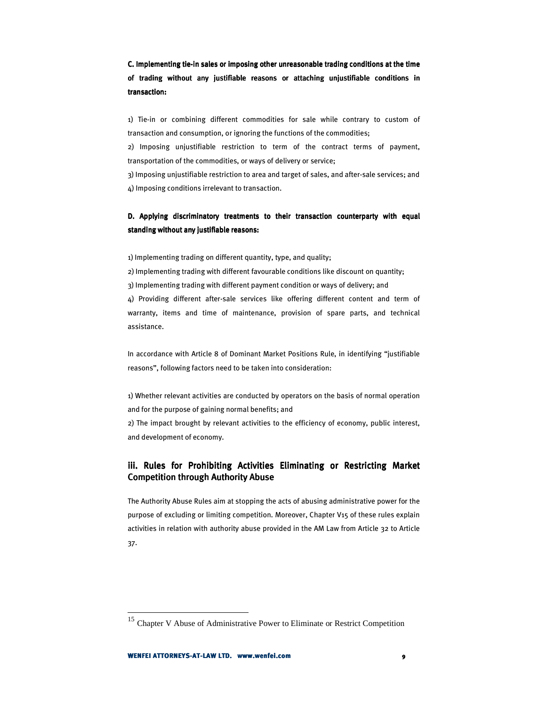C. Implementing tie-in sales or imposing other unreasonable trading conditions at the time of trading without any justifiable reasons or attaching unjustifiable conditions in transaction:

1) Tie-in or combining different commodities for sale while contrary to custom of transaction and consumption, or ignoring the functions of the commodities;

2) Imposing unjustifiable restriction to term of the contract terms of payment, transportation of the commodities, or ways of delivery or service;

3) Imposing unjustifiable restriction to area and target of sales, and after-sale services; and 4) Imposing conditions irrelevant to transaction.

## D. Applying discriminatory treatments to their transaction counterparty with equal standing without any justifiable reasons:

1) Implementing trading on different quantity, type, and quality;

2) Implementing trading with different favourable conditions like discount on quantity; 3) Implementing trading with different payment condition or ways of delivery; and 4) Providing different after-sale services like offering different content and term of warranty, items and time of maintenance, provision of spare parts, and technical assistance.

In accordance with Article 8 of Dominant Market Positions Rule, in identifying "justifiable reasons", following factors need to be taken into consideration:

1) Whether relevant activities are conducted by operators on the basis of normal operation and for the purpose of gaining normal benefits; and

2) The impact brought by relevant activities to the efficiency of economy, public interest, and development of economy.

## iii. Rules for Prohibiting Activities Eliminating or Restricting Market **Competition through Authority Abuse**

The Authority Abuse Rules aim at stopping the acts of abusing administrative power for the purpose of excluding or limiting competition. Moreover, Chapter V15 of these rules explain activities in relation with authority abuse provided in the AM Law from Article 32 to Article 37.

<sup>&</sup>lt;sup>15</sup> Chapter V Abuse of Administrative Power to Eliminate or Restrict Competition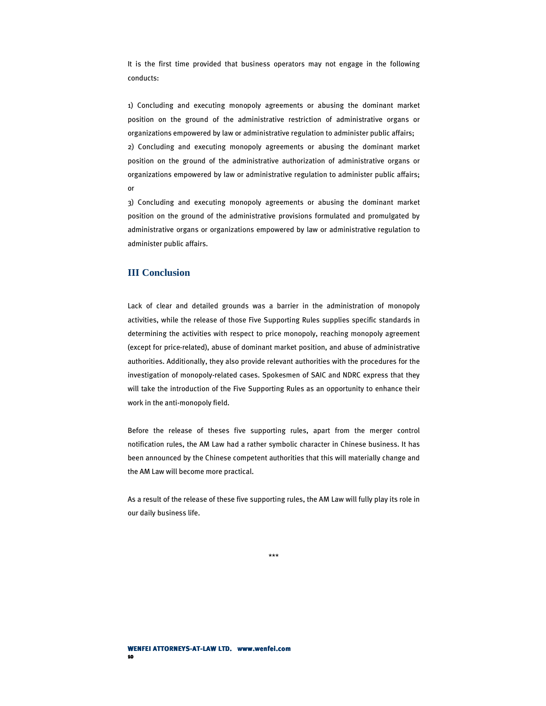It is the first time provided that business operators may not engage in the following conducts:

1) Concluding and executing monopoly agreements or abusing the dominant market position on the ground of the administrative restriction of administrative organs or organizations empowered by law or administrative regulation to administer public affairs; 2) Concluding and executing monopoly agreements or abusing the dominant market position on the ground of the administrative authorization of administrative organs or organizations empowered by law or administrative regulation to administer public affairs; or

3) Concluding and executing monopoly agreements or abusing the dominant market position on the ground of the administrative provisions formulated and promulgated by administrative organs or organizations empowered by law or administrative regulation to administer public affairs.

#### **III Conclusion**

Lack of clear and detailed grounds was a barrier in the administration of monopoly activities, while the release of those Five Supporting Rules supplies specific standards in determining the activities with respect to price monopoly, reaching monopoly agreement (except for price-related), abuse of dominant market position, and abuse of administrative authorities. Additionally, they also provide relevant authorities with the procedures for the investigation of monopoly-related cases. Spokesmen of SAIC and NDRC express that they will take the introduction of the Five Supporting Rules as an opportunity to enhance their work in the anti-monopoly field.

Before the release of theses five supporting rules, apart from the merger control notification rules, the AM Law had a rather symbolic character in Chinese business. It has been announced by the Chinese competent authorities that this will materially change and the AM Law will become more practical.

As a result of the release of these five supporting rules, the AM Law will fully play its role in our daily business life.

\*\*\*